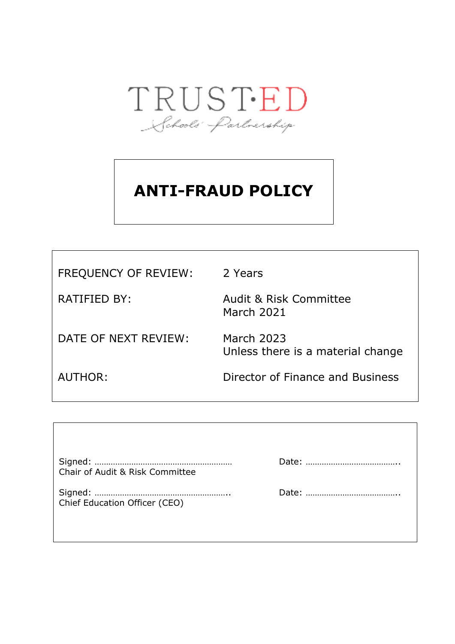

# **ANTI-FRAUD POLICY**

| <b>FREQUENCY OF REVIEW:</b> | 2 Years                                                |
|-----------------------------|--------------------------------------------------------|
| RATIFIED BY:                | <b>Audit &amp; Risk Committee</b><br><b>March 2021</b> |
| DATE OF NEXT REVIEW:        | <b>March 2023</b><br>Unless there is a material change |
| AUTHOR:                     | Director of Finance and Business                       |

٦

| Chair of Audit & Risk Committee |  |
|---------------------------------|--|
| Chief Education Officer (CEO)   |  |
|                                 |  |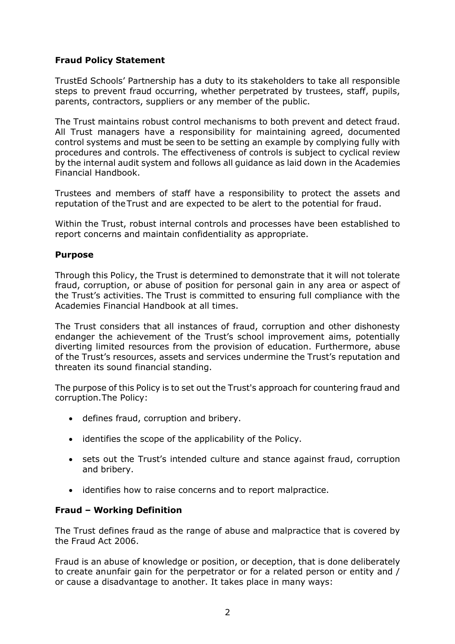# **Fraud Policy Statement**

TrustEd Schools' Partnership has a duty to its stakeholders to take all responsible steps to prevent fraud occurring, whether perpetrated by trustees, staff, pupils, parents, contractors, suppliers or any member of the public.

The Trust maintains robust control mechanisms to both prevent and detect fraud. All Trust managers have a responsibility for maintaining agreed, documented control systems and must be seen to be setting an example by complying fully with procedures and controls. The effectiveness of controls is subject to cyclical review by the internal audit system and follows all guidance as laid down in the Academies Financial Handbook.

Trustees and members of staff have a responsibility to protect the assets and reputation of the Trust and are expected to be alert to the potential for fraud.

Within the Trust, robust internal controls and processes have been established to report concerns and maintain confidentiality as appropriate.

# **Purpose**

Through this Policy, the Trust is determined to demonstrate that it will not tolerate fraud, corruption, or abuse of position for personal gain in any area or aspect of the Trust's activities. The Trust is committed to ensuring full compliance with the Academies Financial Handbook at all times.

The Trust considers that all instances of fraud, corruption and other dishonesty endanger the achievement of the Trust's school improvement aims, potentially diverting limited resources from the provision of education. Furthermore, abuse of the Trust's resources, assets and services undermine the Trust's reputation and threaten its sound financial standing.

The purpose of this Policy is to set out the Trust's approach for countering fraud and corruption.The Policy:

- defines fraud, corruption and bribery.
- identifies the scope of the applicability of the Policy.
- sets out the Trust's intended culture and stance against fraud, corruption and bribery.
- identifies how to raise concerns and to report malpractice.

# **Fraud – Working Definition**

The Trust defines fraud as the range of abuse and malpractice that is covered by the Fraud Act 2006.

Fraud is an abuse of knowledge or position, or deception, that is done deliberately to create anunfair gain for the perpetrator or for a related person or entity and / or cause a disadvantage to another. It takes place in many ways: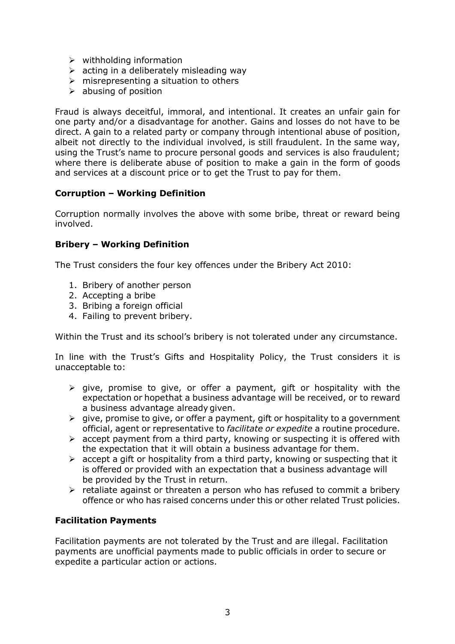- ➢ withholding information
- $\triangleright$  acting in a deliberately misleading way
- $\triangleright$  misrepresenting a situation to others
- $\triangleright$  abusing of position

Fraud is always deceitful, immoral, and intentional. It creates an unfair gain for one party and/or a disadvantage for another. Gains and losses do not have to be direct. A gain to a related party or company through intentional abuse of position, albeit not directly to the individual involved, is still fraudulent. In the same way, using the Trust's name to procure personal goods and services is also fraudulent; where there is deliberate abuse of position to make a gain in the form of goods and services at a discount price or to get the Trust to pay for them.

# **Corruption – Working Definition**

Corruption normally involves the above with some bribe, threat or reward being involved.

# **Bribery – Working Definition**

The Trust considers the four key offences under the Bribery Act 2010:

- 1. Bribery of another person
- 2. Accepting a bribe
- 3. Bribing a foreign official
- 4. Failing to prevent bribery.

Within the Trust and its school's bribery is not tolerated under any circumstance.

In line with the Trust's Gifts and Hospitality Policy, the Trust considers it is unacceptable to:

- $\triangleright$  give, promise to give, or offer a payment, gift or hospitality with the expectation or hopethat a business advantage will be received, or to reward a business advantage already given.
- $\triangleright$  give, promise to give, or offer a payment, gift or hospitality to a government official, agent or representative to *facilitate or expedite* a routine procedure.
- $\triangleright$  accept payment from a third party, knowing or suspecting it is offered with the expectation that it will obtain a business advantage for them.
- $\triangleright$  accept a gift or hospitality from a third party, knowing or suspecting that it is offered or provided with an expectation that a business advantage will be provided by the Trust in return.
- ➢ retaliate against or threaten a person who has refused to commit a bribery offence or who has raised concerns under this or other related Trust policies.

# **Facilitation Payments**

Facilitation payments are not tolerated by the Trust and are illegal. Facilitation payments are unofficial payments made to public officials in order to secure or expedite a particular action or actions.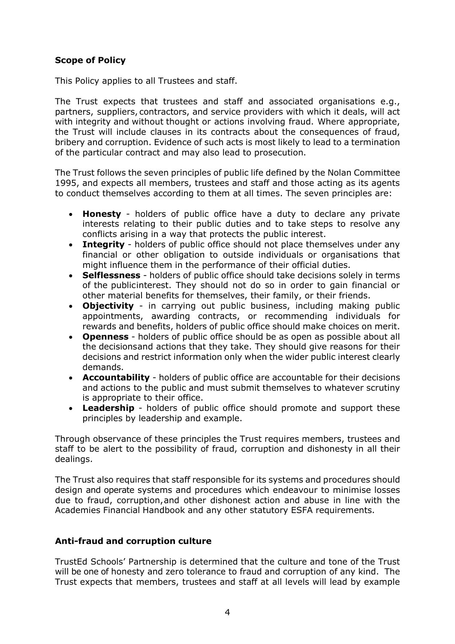# **Scope of Policy**

This Policy applies to all Trustees and staff.

The Trust expects that trustees and staff and associated organisations e.g., partners, suppliers, contractors, and service providers with which it deals, will act with integrity and without thought or actions involving fraud. Where appropriate, the Trust will include clauses in its contracts about the consequences of fraud, bribery and corruption. Evidence of such acts is most likely to lead to a termination of the particular contract and may also lead to prosecution.

The Trust follows the seven principles of public life defined by the Nolan Committee 1995, and expects all members, trustees and staff and those acting as its agents to conduct themselves according to them at all times. The seven principles are:

- **Honesty**  holders of public office have a duty to declare any private interests relating to their public duties and to take steps to resolve any conflicts arising in a way that protects the public interest.
- **Integrity**  holders of public office should not place themselves under any financial or other obligation to outside individuals or organisations that might influence them in the performance of their official duties.
- **Selflessness** holders of public office should take decisions solely in terms of the publicinterest. They should not do so in order to gain financial or other material benefits for themselves, their family, or their friends.
- **Objectivity**  in carrying out public business, including making public appointments, awarding contracts, or recommending individuals for rewards and benefits, holders of public office should make choices on merit.
- **Openness** holders of public office should be as open as possible about all the decisionsand actions that they take. They should give reasons for their decisions and restrict information only when the wider public interest clearly demands.
- **Accountability** holders of public office are accountable for their decisions and actions to the public and must submit themselves to whatever scrutiny is appropriate to their office.
- **Leadership**  holders of public office should promote and support these principles by leadership and example.

Through observance of these principles the Trust requires members, trustees and staff to be alert to the possibility of fraud, corruption and dishonesty in all their dealings.

The Trust also requires that staff responsible for its systems and procedures should design and operate systems and procedures which endeavour to minimise losses due to fraud, corruption,and other dishonest action and abuse in line with the Academies Financial Handbook and any other statutory ESFA requirements.

# **Anti-fraud and corruption culture**

TrustEd Schools' Partnership is determined that the culture and tone of the Trust will be one of honesty and zero tolerance to fraud and corruption of any kind. The Trust expects that members, trustees and staff at all levels will lead by example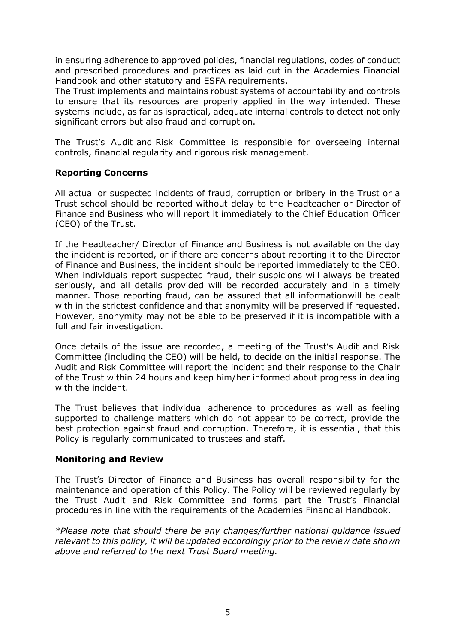in ensuring adherence to approved policies, financial regulations, codes of conduct and prescribed procedures and practices as laid out in the Academies Financial Handbook and other statutory and ESFA requirements.

The Trust implements and maintains robust systems of accountability and controls to ensure that its resources are properly applied in the way intended. These systems include, as far as ispractical, adequate internal controls to detect not only significant errors but also fraud and corruption.

The Trust's Audit and Risk Committee is responsible for overseeing internal controls, financial regularity and rigorous risk management.

# **Reporting Concerns**

All actual or suspected incidents of fraud, corruption or bribery in the Trust or a Trust school should be reported without delay to the Headteacher or Director of Finance and Business who will report it immediately to the Chief Education Officer (CEO) of the Trust.

If the Headteacher/ Director of Finance and Business is not available on the day the incident is reported, or if there are concerns about reporting it to the Director of Finance and Business, the incident should be reported immediately to the CEO. When individuals report suspected fraud, their suspicions will always be treated seriously, and all details provided will be recorded accurately and in a timely manner. Those reporting fraud, can be assured that all informationwill be dealt with in the strictest confidence and that anonymity will be preserved if requested. However, anonymity may not be able to be preserved if it is incompatible with a full and fair investigation.

Once details of the issue are recorded, a meeting of the Trust's Audit and Risk Committee (including the CEO) will be held, to decide on the initial response. The Audit and Risk Committee will report the incident and their response to the Chair of the Trust within 24 hours and keep him/her informed about progress in dealing with the incident.

The Trust believes that individual adherence to procedures as well as feeling supported to challenge matters which do not appear to be correct, provide the best protection against fraud and corruption. Therefore, it is essential, that this Policy is regularly communicated to trustees and staff.

# **Monitoring and Review**

The Trust's Director of Finance and Business has overall responsibility for the maintenance and operation of this Policy. The Policy will be reviewed regularly by the Trust Audit and Risk Committee and forms part the Trust's Financial procedures in line with the requirements of the Academies Financial Handbook.

*\*Please note that should there be any changes/further national guidance issued relevant to this policy, it will beupdated accordingly prior to the review date shown above and referred to the next Trust Board meeting.*